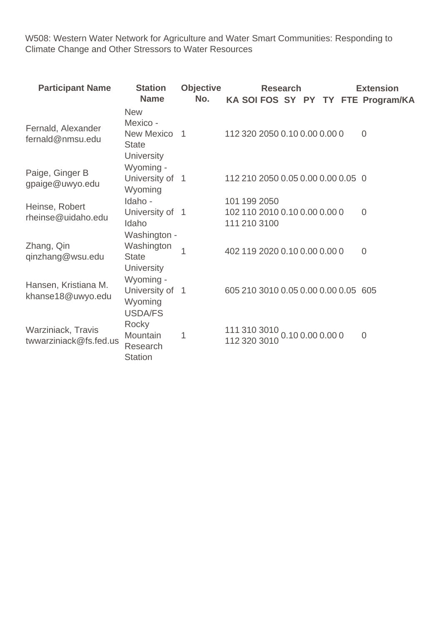W508: Western Water Network for Agriculture and Water Smart Communities: Responding to Climate Change and Other Stressors to Water Resources

| <b>Participant Name</b>                      | <b>Station</b><br><b>Name</b>                                               | <b>Objective</b><br>No. |                                                               | <b>Research</b> |                  |  | <b>Extension</b><br>KA SOI FOS SY PY TY FTE Program/KA |
|----------------------------------------------|-----------------------------------------------------------------------------|-------------------------|---------------------------------------------------------------|-----------------|------------------|--|--------------------------------------------------------|
| Fernald, Alexander<br>fernald@nmsu.edu       | <b>New</b><br>Mexico -<br>New Mexico 1<br><b>State</b><br><b>University</b> |                         | 112 320 2050 0.10 0.00 0.00 0                                 |                 |                  |  | $\overline{0}$                                         |
| Paige, Ginger B<br>gpaige@uwyo.edu           | Wyoming -<br>University of 1<br>Wyoming                                     |                         | 112 210 2050 0.05 0.00 0.00 0.05 0                            |                 |                  |  |                                                        |
| Heinse, Robert<br>rheinse@uidaho.edu         | Idaho -<br>University of 1<br>Idaho                                         |                         | 101 199 2050<br>102 110 2010 0.10 0.00 0.00 0<br>111 210 3100 |                 |                  |  | $\Omega$                                               |
| Zhang, Qin<br>qinzhang@wsu.edu               | Washington -<br>Washington<br><b>State</b><br><b>University</b>             | 1                       | 402 119 2020 0.10 0.00 0.00 0                                 |                 |                  |  | $\Omega$                                               |
| Hansen, Kristiana M.<br>khanse18@uwyo.edu    | Wyoming -<br>University of<br>Wyoming<br><b>USDA/FS</b>                     | $\overline{1}$          | 605 210 3010 0.05 0.00 0.00 0.05 605                          |                 |                  |  |                                                        |
| Warziniack, Travis<br>twwarziniack@fs.fed.us | Rocky<br><b>Mountain</b><br>Research<br><b>Station</b>                      | 1                       | 111 310 3010<br>112 320 3010                                  |                 | 0.10 0.00 0.00 0 |  | $\overline{0}$                                         |